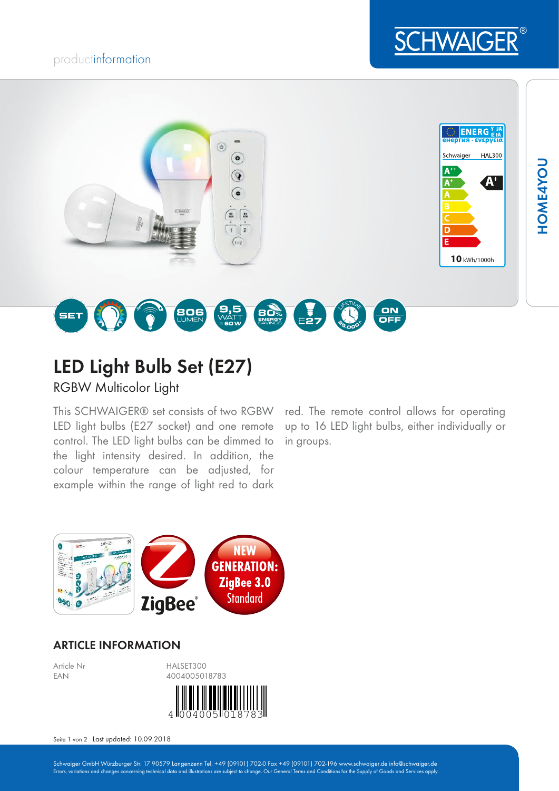## productinformation





# LED Light Bulb Set (E27)

RGBW Multicolor Light

This SCHWAIGER® set consists of two RGBW LED light bulbs (E27 socket) and one remote control. The LED light bulbs can be dimmed to the light intensity desired. In addition, the colour temperature can be adjusted, for example within the range of light red to dark

red. The remote control allows for operating up to 16 LED light bulbs, either individually or in groups.



### ARTICLE INFORMATION



Seite 1 von 2 Last updated: 10.09.2018